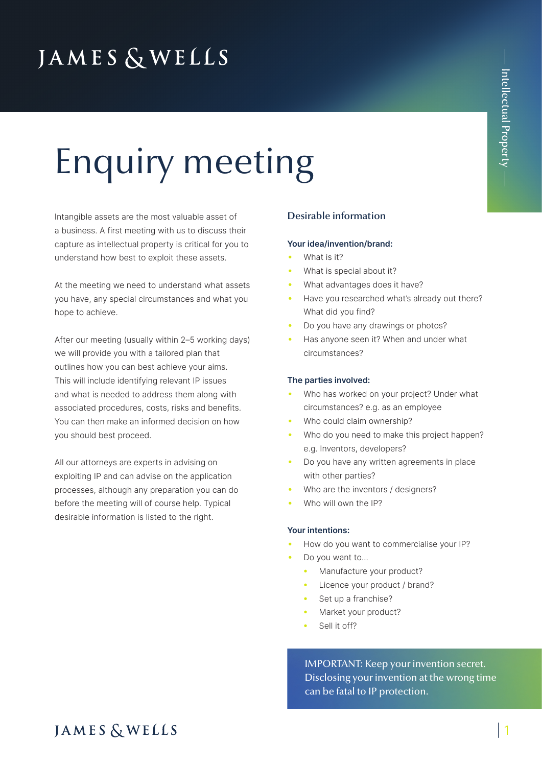## **JAMES & WELLS**

# Enquiry meeting

Intangible assets are the most valuable asset of a business. A first meeting with us to discuss their capture as intellectual property is critical for you to understand how best to exploit these assets.

At the meeting we need to understand what assets you have, any special circumstances and what you hope to achieve.

After our meeting (usually within 2–5 working days) we will provide you with a tailored plan that outlines how you can best achieve your aims. This will include identifying relevant IP issues and what is needed to address them along with associated procedures, costs, risks and benefits. You can then make an informed decision on how you should best proceed.

All our attorneys are experts in advising on exploiting IP and can advise on the application processes, although any preparation you can do before the meeting will of course help. Typical desirable information is listed to the right.

#### Desirable information

#### **Your idea/invention/brand:**

- What is it?
- What is special about it?
- What advantages does it have?
- Have you researched what's already out there? What did you find?
- Do you have any drawings or photos?
- Has anyone seen it? When and under what circumstances?

#### **The parties involved:**

- Who has worked on your project? Under what circumstances? e.g. as an employee
- Who could claim ownership?
- Who do you need to make this project happen? e.g. Inventors, developers?
- Do you have any written agreements in place with other parties?
- Who are the inventors / designers?
- Who will own the IP?

#### **Your intentions:**

- How do you want to commercialise your IP?
- Do you want to...
	- Manufacture your product?
	- Licence your product / brand?
	- Set up a franchise?
	- Market your product?
	- Sell it off?

IMPORTANT: Keep your invention secret. Disclosing your invention at the wrong time can be fatal to IP protection.

### **JAMES & WELLS**